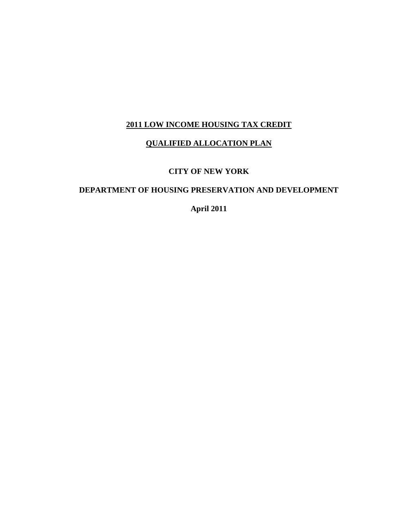## **2011 LOW INCOME HOUSING TAX CREDIT**

#### **QUALIFIED ALLOCATION PLAN**

### **CITY OF NEW YORK**

## **DEPARTMENT OF HOUSING PRESERVATION AND DEVELOPMENT**

**April 2011**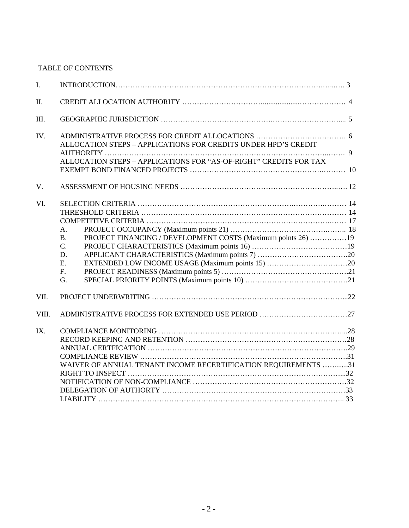## TABLE OF CONTENTS

| I.    |                                                                           |  |
|-------|---------------------------------------------------------------------------|--|
| II.   |                                                                           |  |
| III.  |                                                                           |  |
| IV.   | ALLOCATION STEPS - APPLICATIONS FOR CREDITS UNDER HPD'S CREDIT            |  |
|       |                                                                           |  |
|       | ALLOCATION STEPS - APPLICATIONS FOR "AS-OF-RIGHT" CREDITS FOR TAX         |  |
|       |                                                                           |  |
| V.    |                                                                           |  |
| VI.   |                                                                           |  |
|       |                                                                           |  |
|       |                                                                           |  |
|       | A.                                                                        |  |
|       | PROJECT FINANCING / DEVELOPMENT COSTS (Maximum points 26) 19<br><b>B.</b> |  |
|       | C.                                                                        |  |
|       | D.                                                                        |  |
|       | E.                                                                        |  |
|       | F <sub>r</sub>                                                            |  |
|       | G.                                                                        |  |
| VII.  |                                                                           |  |
| VIII. |                                                                           |  |
| IX.   |                                                                           |  |
|       |                                                                           |  |
|       |                                                                           |  |
|       |                                                                           |  |
|       | WAIVER OF ANNUAL TENANT INCOME RECERTIFICATION REQUIREMENTS 31            |  |
|       |                                                                           |  |
|       |                                                                           |  |
|       |                                                                           |  |
|       |                                                                           |  |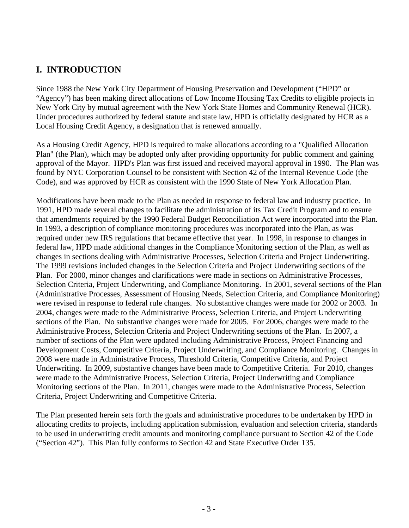# **I. INTRODUCTION**

Since 1988 the New York City Department of Housing Preservation and Development ("HPD" or "Agency") has been making direct allocations of Low Income Housing Tax Credits to eligible projects in New York City by mutual agreement with the New York State Homes and Community Renewal (HCR). Under procedures authorized by federal statute and state law, HPD is officially designated by HCR as a Local Housing Credit Agency, a designation that is renewed annually.

As a Housing Credit Agency, HPD is required to make allocations according to a "Qualified Allocation Plan" (the Plan), which may be adopted only after providing opportunity for public comment and gaining approval of the Mayor. HPD's Plan was first issued and received mayoral approval in 1990. The Plan was found by NYC Corporation Counsel to be consistent with Section 42 of the Internal Revenue Code (the Code), and was approved by HCR as consistent with the 1990 State of New York Allocation Plan.

Modifications have been made to the Plan as needed in response to federal law and industry practice. In 1991, HPD made several changes to facilitate the administration of its Tax Credit Program and to ensure that amendments required by the 1990 Federal Budget Reconciliation Act were incorporated into the Plan. In 1993, a description of compliance monitoring procedures was incorporated into the Plan, as was required under new IRS regulations that became effective that year. In 1998, in response to changes in federal law, HPD made additional changes in the Compliance Monitoring section of the Plan, as well as changes in sections dealing with Administrative Processes, Selection Criteria and Project Underwriting. The 1999 revisions included changes in the Selection Criteria and Project Underwriting sections of the Plan. For 2000, minor changes and clarifications were made in sections on Administrative Processes, Selection Criteria, Project Underwriting, and Compliance Monitoring. In 2001, several sections of the Plan (Administrative Processes, Assessment of Housing Needs, Selection Criteria, and Compliance Monitoring) were revised in response to federal rule changes. No substantive changes were made for 2002 or 2003. In 2004, changes were made to the Administrative Process, Selection Criteria, and Project Underwriting sections of the Plan. No substantive changes were made for 2005. For 2006, changes were made to the Administrative Process, Selection Criteria and Project Underwriting sections of the Plan. In 2007, a number of sections of the Plan were updated including Administrative Process, Project Financing and Development Costs, Competitive Criteria, Project Underwriting, and Compliance Monitoring. Changes in 2008 were made in Administrative Process, Threshold Criteria, Competitive Criteria, and Project Underwriting. In 2009, substantive changes have been made to Competitive Criteria. For 2010, changes were made to the Administrative Process, Selection Criteria, Project Underwriting and Compliance Monitoring sections of the Plan. In 2011, changes were made to the Administrative Process, Selection Criteria, Project Underwriting and Competitive Criteria.

The Plan presented herein sets forth the goals and administrative procedures to be undertaken by HPD in allocating credits to projects, including application submission, evaluation and selection criteria, standards to be used in underwriting credit amounts and monitoring compliance pursuant to Section 42 of the Code ("Section 42"). This Plan fully conforms to Section 42 and State Executive Order 135.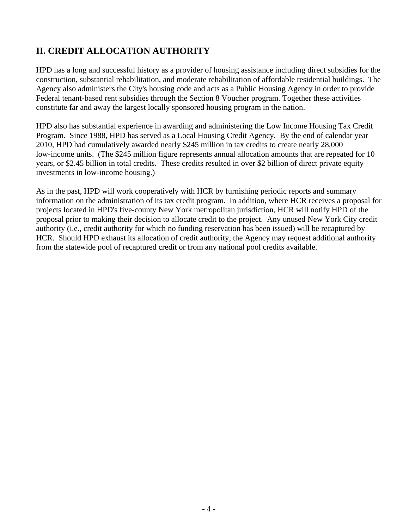# **II. CREDIT ALLOCATION AUTHORITY**

HPD has a long and successful history as a provider of housing assistance including direct subsidies for the construction, substantial rehabilitation, and moderate rehabilitation of affordable residential buildings. The Agency also administers the City's housing code and acts as a Public Housing Agency in order to provide Federal tenant-based rent subsidies through the Section 8 Voucher program. Together these activities constitute far and away the largest locally sponsored housing program in the nation.

HPD also has substantial experience in awarding and administering the Low Income Housing Tax Credit Program. Since 1988, HPD has served as a Local Housing Credit Agency. By the end of calendar year 2010, HPD had cumulatively awarded nearly \$245 million in tax credits to create nearly 28,000 low-income units. (The \$245 million figure represents annual allocation amounts that are repeated for 10 years, or \$2.45 billion in total credits. These credits resulted in over \$2 billion of direct private equity investments in low-income housing.)

As in the past, HPD will work cooperatively with HCR by furnishing periodic reports and summary information on the administration of its tax credit program. In addition, where HCR receives a proposal for projects located in HPD's five-county New York metropolitan jurisdiction, HCR will notify HPD of the proposal prior to making their decision to allocate credit to the project. Any unused New York City credit authority (i.e., credit authority for which no funding reservation has been issued) will be recaptured by HCR. Should HPD exhaust its allocation of credit authority, the Agency may request additional authority from the statewide pool of recaptured credit or from any national pool credits available.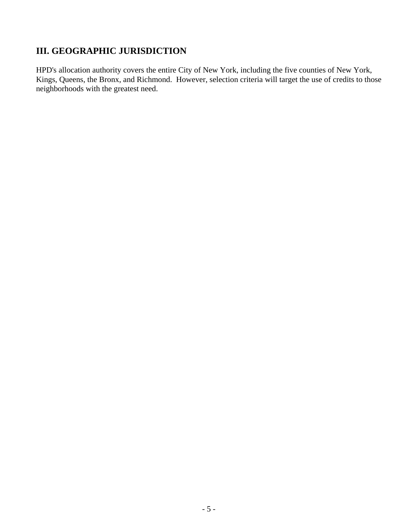# **III. GEOGRAPHIC JURISDICTION**

HPD's allocation authority covers the entire City of New York, including the five counties of New York, Kings, Queens, the Bronx, and Richmond. However, selection criteria will target the use of credits to those neighborhoods with the greatest need.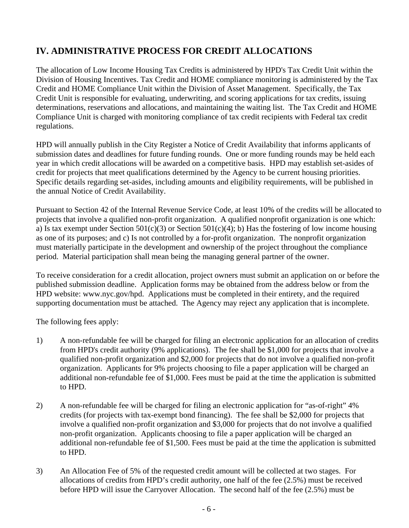# **IV. ADMINISTRATIVE PROCESS FOR CREDIT ALLOCATIONS**

The allocation of Low Income Housing Tax Credits is administered by HPD's Tax Credit Unit within the Division of Housing Incentives. Tax Credit and HOME compliance monitoring is administered by the Tax Credit and HOME Compliance Unit within the Division of Asset Management. Specifically, the Tax Credit Unit is responsible for evaluating, underwriting, and scoring applications for tax credits, issuing determinations, reservations and allocations, and maintaining the waiting list. The Tax Credit and HOME Compliance Unit is charged with monitoring compliance of tax credit recipients with Federal tax credit regulations.

HPD will annually publish in the City Register a Notice of Credit Availability that informs applicants of submission dates and deadlines for future funding rounds. One or more funding rounds may be held each year in which credit allocations will be awarded on a competitive basis. HPD may establish set-asides of credit for projects that meet qualifications determined by the Agency to be current housing priorities. Specific details regarding set-asides, including amounts and eligibility requirements, will be published in the annual Notice of Credit Availability.

Pursuant to Section 42 of the Internal Revenue Service Code, at least 10% of the credits will be allocated to projects that involve a qualified non-profit organization. A qualified nonprofit organization is one which: a) Is tax exempt under Section  $501(c)(3)$  or Section  $501(c)(4)$ ; b) Has the fostering of low income housing as one of its purposes; and c) Is not controlled by a for-profit organization. The nonprofit organization must materially participate in the development and ownership of the project throughout the compliance period. Material participation shall mean being the managing general partner of the owner.

To receive consideration for a credit allocation, project owners must submit an application on or before the published submission deadline. Application forms may be obtained from the address below or from the HPD website: www.nyc.gov/hpd. Applications must be completed in their entirety, and the required supporting documentation must be attached. The Agency may reject any application that is incomplete.

The following fees apply:

- 1) A non-refundable fee will be charged for filing an electronic application for an allocation of credits from HPD's credit authority (9% applications). The fee shall be \$1,000 for projects that involve a qualified non-profit organization and \$2,000 for projects that do not involve a qualified non-profit organization. Applicants for 9% projects choosing to file a paper application will be charged an additional non-refundable fee of \$1,000. Fees must be paid at the time the application is submitted to HPD.
- 2) A non-refundable fee will be charged for filing an electronic application for "as-of-right" 4% credits (for projects with tax-exempt bond financing). The fee shall be \$2,000 for projects that involve a qualified non-profit organization and \$3,000 for projects that do not involve a qualified non-profit organization. Applicants choosing to file a paper application will be charged an additional non-refundable fee of \$1,500. Fees must be paid at the time the application is submitted to HPD.
- 3) An Allocation Fee of 5% of the requested credit amount will be collected at two stages. For allocations of credits from HPD's credit authority, one half of the fee (2.5%) must be received before HPD will issue the Carryover Allocation. The second half of the fee (2.5%) must be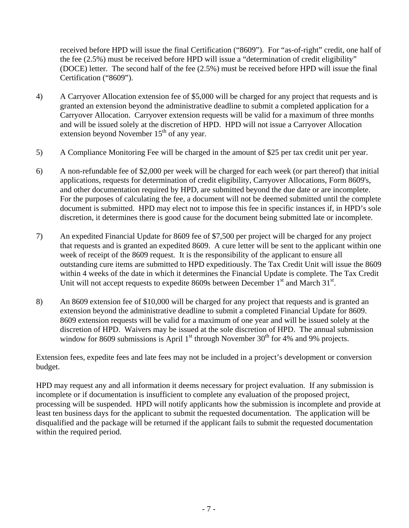received before HPD will issue the final Certification ("8609"). For "as-of-right" credit, one half of the fee (2.5%) must be received before HPD will issue a "determination of credit eligibility" (DOCE) letter. The second half of the fee (2.5%) must be received before HPD will issue the final Certification ("8609").

- 4) A Carryover Allocation extension fee of \$5,000 will be charged for any project that requests and is granted an extension beyond the administrative deadline to submit a completed application for a Carryover Allocation. Carryover extension requests will be valid for a maximum of three months and will be issued solely at the discretion of HPD. HPD will not issue a Carryover Allocation extension beyond November  $15<sup>th</sup>$  of any year.
- 5) A Compliance Monitoring Fee will be charged in the amount of \$25 per tax credit unit per year.
- 6) A non-refundable fee of \$2,000 per week will be charged for each week (or part thereof) that initial applications, requests for determination of credit eligibility, Carryover Allocations, Form 8609's, and other documentation required by HPD, are submitted beyond the due date or are incomplete. For the purposes of calculating the fee, a document will not be deemed submitted until the complete document is submitted. HPD may elect not to impose this fee in specific instances if, in HPD's sole discretion, it determines there is good cause for the document being submitted late or incomplete.
- 7) An expedited Financial Update for 8609 fee of \$7,500 per project will be charged for any project that requests and is granted an expedited 8609. A cure letter will be sent to the applicant within one week of receipt of the 8609 request. It is the responsibility of the applicant to ensure all outstanding cure items are submitted to HPD expeditiously. The Tax Credit Unit will issue the 8609 within 4 weeks of the date in which it determines the Financial Update is complete. The Tax Credit Unit will not accept requests to expedite 8609s between December  $1<sup>st</sup>$  and March  $31<sup>st</sup>$ .
- 8) An 8609 extension fee of \$10,000 will be charged for any project that requests and is granted an extension beyond the administrative deadline to submit a completed Financial Update for 8609. 8609 extension requests will be valid for a maximum of one year and will be issued solely at the discretion of HPD. Waivers may be issued at the sole discretion of HPD. The annual submission window for 8609 submissions is April  $1<sup>st</sup>$  through November 30<sup>th</sup> for 4% and 9% projects.

Extension fees, expedite fees and late fees may not be included in a project's development or conversion budget.

HPD may request any and all information it deems necessary for project evaluation. If any submission is incomplete or if documentation is insufficient to complete any evaluation of the proposed project, processing will be suspended. HPD will notify applicants how the submission is incomplete and provide at least ten business days for the applicant to submit the requested documentation. The application will be disqualified and the package will be returned if the applicant fails to submit the requested documentation within the required period.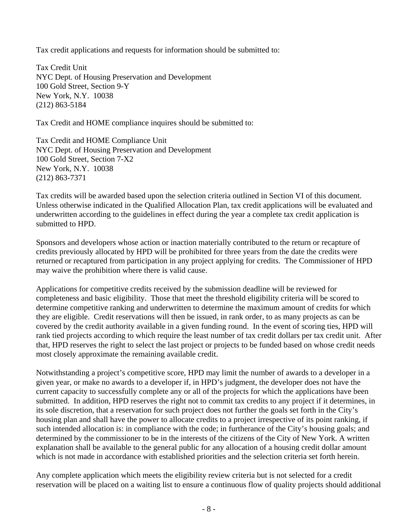Tax credit applications and requests for information should be submitted to:

Tax Credit Unit NYC Dept. of Housing Preservation and Development 100 Gold Street, Section 9-Y New York, N.Y. 10038 (212) 863-5184

Tax Credit and HOME compliance inquires should be submitted to:

Tax Credit and HOME Compliance Unit NYC Dept. of Housing Preservation and Development 100 Gold Street, Section 7-X2 New York, N.Y. 10038 (212) 863-7371

Tax credits will be awarded based upon the selection criteria outlined in Section VI of this document. Unless otherwise indicated in the Qualified Allocation Plan, tax credit applications will be evaluated and underwritten according to the guidelines in effect during the year a complete tax credit application is submitted to HPD.

Sponsors and developers whose action or inaction materially contributed to the return or recapture of credits previously allocated by HPD will be prohibited for three years from the date the credits were returned or recaptured from participation in any project applying for credits. The Commissioner of HPD may waive the prohibition where there is valid cause.

Applications for competitive credits received by the submission deadline will be reviewed for completeness and basic eligibility. Those that meet the threshold eligibility criteria will be scored to determine competitive ranking and underwritten to determine the maximum amount of credits for which they are eligible. Credit reservations will then be issued, in rank order, to as many projects as can be covered by the credit authority available in a given funding round. In the event of scoring ties, HPD will rank tied projects according to which require the least number of tax credit dollars per tax credit unit. After that, HPD reserves the right to select the last project or projects to be funded based on whose credit needs most closely approximate the remaining available credit.

Notwithstanding a project's competitive score, HPD may limit the number of awards to a developer in a given year, or make no awards to a developer if, in HPD's judgment, the developer does not have the current capacity to successfully complete any or all of the projects for which the applications have been submitted. In addition, HPD reserves the right not to commit tax credits to any project if it determines, in its sole discretion, that a reservation for such project does not further the goals set forth in the City's housing plan and shall have the power to allocate credits to a project irrespective of its point ranking, if such intended allocation is: in compliance with the code; in furtherance of the City's housing goals; and determined by the commissioner to be in the interests of the citizens of the City of New York. A written explanation shall be available to the general public for any allocation of a housing credit dollar amount which is not made in accordance with established priorities and the selection criteria set forth herein.

Any complete application which meets the eligibility review criteria but is not selected for a credit reservation will be placed on a waiting list to ensure a continuous flow of quality projects should additional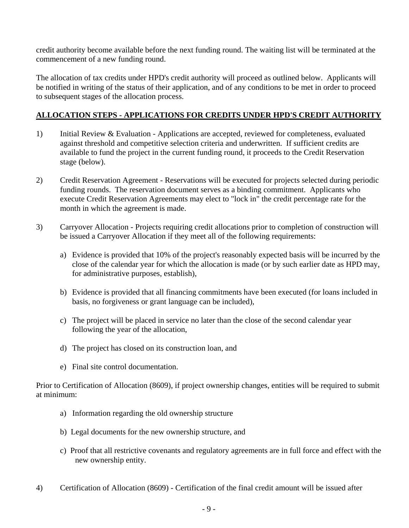credit authority become available before the next funding round. The waiting list will be terminated at the commencement of a new funding round.

The allocation of tax credits under HPD's credit authority will proceed as outlined below. Applicants will be notified in writing of the status of their application, and of any conditions to be met in order to proceed to subsequent stages of the allocation process.

## **ALLOCATION STEPS - APPLICATIONS FOR CREDITS UNDER HPD'S CREDIT AUTHORITY**

- 1) Initial Review & Evaluation Applications are accepted, reviewed for completeness, evaluated against threshold and competitive selection criteria and underwritten. If sufficient credits are available to fund the project in the current funding round, it proceeds to the Credit Reservation stage (below).
- 2) Credit Reservation Agreement Reservations will be executed for projects selected during periodic funding rounds. The reservation document serves as a binding commitment. Applicants who execute Credit Reservation Agreements may elect to "lock in" the credit percentage rate for the month in which the agreement is made.
- 3) Carryover Allocation Projects requiring credit allocations prior to completion of construction will be issued a Carryover Allocation if they meet all of the following requirements:
	- a) Evidence is provided that 10% of the project's reasonably expected basis will be incurred by the close of the calendar year for which the allocation is made (or by such earlier date as HPD may, for administrative purposes, establish),
	- b) Evidence is provided that all financing commitments have been executed (for loans included in basis, no forgiveness or grant language can be included),
	- c) The project will be placed in service no later than the close of the second calendar year following the year of the allocation,
	- d) The project has closed on its construction loan, and
	- e) Final site control documentation.

Prior to Certification of Allocation (8609), if project ownership changes, entities will be required to submit at minimum:

- a) Information regarding the old ownership structure
- b) Legal documents for the new ownership structure, and
- c) Proof that all restrictive covenants and regulatory agreements are in full force and effect with the new ownership entity.
- 4) Certification of Allocation (8609) Certification of the final credit amount will be issued after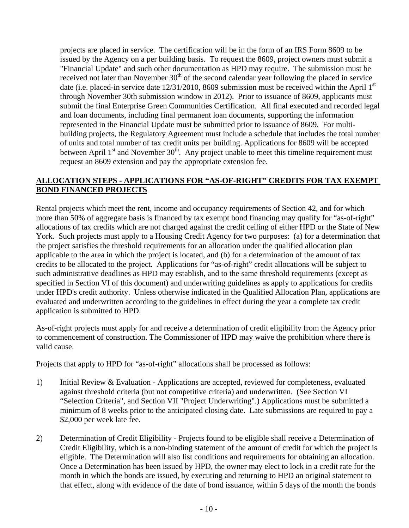projects are placed in service. The certification will be in the form of an IRS Form 8609 to be issued by the Agency on a per building basis. To request the 8609, project owners must submit a "Financial Update" and such other documentation as HPD may require. The submission must be received not later than November  $30<sup>th</sup>$  of the second calendar year following the placed in service date (i.e. placed-in service date  $12/31/2010$ , 8609 submission must be received within the April 1<sup>st</sup> through November 30th submission window in 2012). Prior to issuance of 8609, applicants must submit the final Enterprise Green Communities Certification. All final executed and recorded legal and loan documents, including final permanent loan documents, supporting the information represented in the Financial Update must be submitted prior to issuance of 8609. For multibuilding projects, the Regulatory Agreement must include a schedule that includes the total number of units and total number of tax credit units per building. Applications for 8609 will be accepted between April  $1<sup>st</sup>$  and November 30<sup>th</sup>. Any project unable to meet this timeline requirement must request an 8609 extension and pay the appropriate extension fee.

### **ALLOCATION STEPS - APPLICATIONS FOR "AS-OF-RIGHT" CREDITS FOR TAX EXEMPT BOND FINANCED PROJECTS**

Rental projects which meet the rent, income and occupancy requirements of Section 42, and for which more than 50% of aggregate basis is financed by tax exempt bond financing may qualify for "as-of-right" allocations of tax credits which are not charged against the credit ceiling of either HPD or the State of New York. Such projects must apply to a Housing Credit Agency for two purposes: (a) for a determination that the project satisfies the threshold requirements for an allocation under the qualified allocation plan applicable to the area in which the project is located, and (b) for a determination of the amount of tax credits to be allocated to the project. Applications for "as-of-right" credit allocations will be subject to such administrative deadlines as HPD may establish, and to the same threshold requirements (except as specified in Section VI of this document) and underwriting guidelines as apply to applications for credits under HPD's credit authority. Unless otherwise indicated in the Qualified Allocation Plan, applications are evaluated and underwritten according to the guidelines in effect during the year a complete tax credit application is submitted to HPD.

As-of-right projects must apply for and receive a determination of credit eligibility from the Agency prior to commencement of construction. The Commissioner of HPD may waive the prohibition where there is valid cause.

Projects that apply to HPD for "as-of-right" allocations shall be processed as follows:

- 1) Initial Review & Evaluation Applications are accepted, reviewed for completeness, evaluated against threshold criteria (but not competitive criteria) and underwritten. (See Section VI "Selection Criteria", and Section VII "Project Underwriting".) Applications must be submitted a minimum of 8 weeks prior to the anticipated closing date. Late submissions are required to pay a \$2,000 per week late fee.
- 2) Determination of Credit Eligibility Projects found to be eligible shall receive a Determination of Credit Eligibility, which is a non-binding statement of the amount of credit for which the project is eligible. The Determination will also list conditions and requirements for obtaining an allocation. Once a Determination has been issued by HPD, the owner may elect to lock in a credit rate for the month in which the bonds are issued, by executing and returning to HPD an original statement to that effect, along with evidence of the date of bond issuance, within 5 days of the month the bonds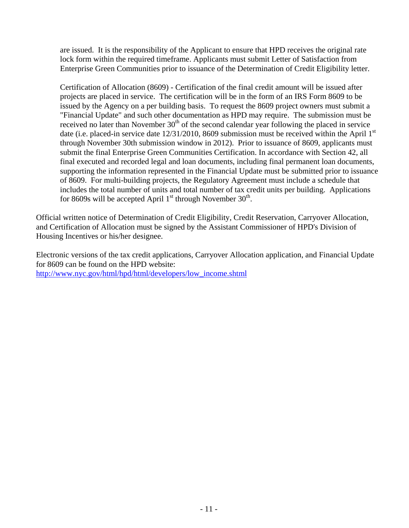are issued. It is the responsibility of the Applicant to ensure that HPD receives the original rate lock form within the required timeframe. Applicants must submit Letter of Satisfaction from Enterprise Green Communities prior to issuance of the Determination of Credit Eligibility letter.

Certification of Allocation (8609) - Certification of the final credit amount will be issued after projects are placed in service. The certification will be in the form of an IRS Form 8609 to be issued by the Agency on a per building basis. To request the 8609 project owners must submit a "Financial Update" and such other documentation as HPD may require. The submission must be received no later than November  $30<sup>th</sup>$  of the second calendar year following the placed in service date (i.e. placed-in service date  $12/31/2010$ , 8609 submission must be received within the April  $1<sup>st</sup>$ through November 30th submission window in 2012). Prior to issuance of 8609, applicants must submit the final Enterprise Green Communities Certification. In accordance with Section 42, all final executed and recorded legal and loan documents, including final permanent loan documents, supporting the information represented in the Financial Update must be submitted prior to issuance of 8609. For multi-building projects, the Regulatory Agreement must include a schedule that includes the total number of units and total number of tax credit units per building. Applications for 8609s will be accepted April  $1<sup>st</sup>$  through November  $30<sup>th</sup>$ .

Official written notice of Determination of Credit Eligibility, Credit Reservation, Carryover Allocation, and Certification of Allocation must be signed by the Assistant Commissioner of HPD's Division of Housing Incentives or his/her designee.

Electronic versions of the tax credit applications, Carryover Allocation application, and Financial Update for 8609 can be found on the HPD website: http://www.nyc.gov/html/hpd/html/developers/low\_income.shtml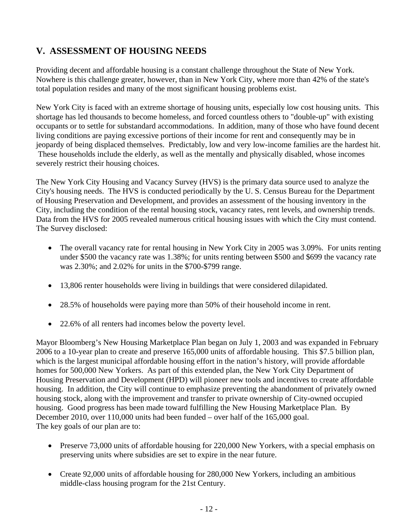# **V. ASSESSMENT OF HOUSING NEEDS**

Providing decent and affordable housing is a constant challenge throughout the State of New York. Nowhere is this challenge greater, however, than in New York City, where more than 42% of the state's total population resides and many of the most significant housing problems exist.

New York City is faced with an extreme shortage of housing units, especially low cost housing units. This shortage has led thousands to become homeless, and forced countless others to "double-up" with existing occupants or to settle for substandard accommodations. In addition, many of those who have found decent living conditions are paying excessive portions of their income for rent and consequently may be in jeopardy of being displaced themselves. Predictably, low and very low-income families are the hardest hit. These households include the elderly, as well as the mentally and physically disabled, whose incomes severely restrict their housing choices.

The New York City Housing and Vacancy Survey (HVS) is the primary data source used to analyze the City's housing needs. The HVS is conducted periodically by the U. S. Census Bureau for the Department of Housing Preservation and Development, and provides an assessment of the housing inventory in the City, including the condition of the rental housing stock, vacancy rates, rent levels, and ownership trends. Data from the HVS for 2005 revealed numerous critical housing issues with which the City must contend. The Survey disclosed:

- The overall vacancy rate for rental housing in New York City in 2005 was 3.09%. For units renting under \$500 the vacancy rate was 1.38%; for units renting between \$500 and \$699 the vacancy rate was 2.30%; and 2.02% for units in the \$700-\$799 range.
- 13,806 renter households were living in buildings that were considered dilapidated.
- 28.5% of households were paying more than 50% of their household income in rent.
- 22.6% of all renters had incomes below the poverty level.

Mayor Bloomberg's New Housing Marketplace Plan began on July 1, 2003 and was expanded in February 2006 to a 10-year plan to create and preserve 165,000 units of affordable housing. This \$7.5 billion plan, which is the largest municipal affordable housing effort in the nation's history, will provide affordable homes for 500,000 New Yorkers. As part of this extended plan, the New York City Department of Housing Preservation and Development (HPD) will pioneer new tools and incentives to create affordable housing. In addition, the City will continue to emphasize preventing the abandonment of privately owned housing stock, along with the improvement and transfer to private ownership of City-owned occupied housing. Good progress has been made toward fulfilling the New Housing Marketplace Plan. By December 2010, over 110,000 units had been funded – over half of the 165,000 goal. The key goals of our plan are to:

- Preserve 73,000 units of affordable housing for 220,000 New Yorkers, with a special emphasis on preserving units where subsidies are set to expire in the near future.
- Create 92,000 units of affordable housing for 280,000 New Yorkers, including an ambitious middle-class housing program for the 21st Century.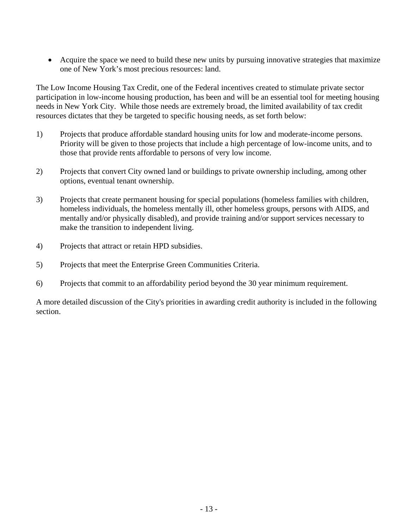• Acquire the space we need to build these new units by pursuing innovative strategies that maximize one of New York's most precious resources: land.

The Low Income Housing Tax Credit, one of the Federal incentives created to stimulate private sector participation in low-income housing production, has been and will be an essential tool for meeting housing needs in New York City. While those needs are extremely broad, the limited availability of tax credit resources dictates that they be targeted to specific housing needs, as set forth below:

- 1) Projects that produce affordable standard housing units for low and moderate-income persons. Priority will be given to those projects that include a high percentage of low-income units, and to those that provide rents affordable to persons of very low income.
- 2) Projects that convert City owned land or buildings to private ownership including, among other options, eventual tenant ownership.
- 3) Projects that create permanent housing for special populations (homeless families with children, homeless individuals, the homeless mentally ill, other homeless groups, persons with AIDS, and mentally and/or physically disabled), and provide training and/or support services necessary to make the transition to independent living.
- 4) Projects that attract or retain HPD subsidies.
- 5) Projects that meet the Enterprise Green Communities Criteria.
- 6) Projects that commit to an affordability period beyond the 30 year minimum requirement.

A more detailed discussion of the City's priorities in awarding credit authority is included in the following section.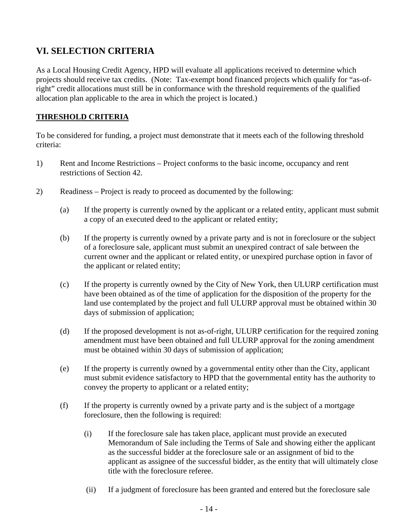# **VI. SELECTION CRITERIA**

As a Local Housing Credit Agency, HPD will evaluate all applications received to determine which projects should receive tax credits. (Note: Tax-exempt bond financed projects which qualify for "as-ofright" credit allocations must still be in conformance with the threshold requirements of the qualified allocation plan applicable to the area in which the project is located.)

### **THRESHOLD CRITERIA**

To be considered for funding, a project must demonstrate that it meets each of the following threshold criteria:

- 1) Rent and Income Restrictions Project conforms to the basic income, occupancy and rent restrictions of Section 42.
- 2) Readiness Project is ready to proceed as documented by the following:
	- (a) If the property is currently owned by the applicant or a related entity, applicant must submit a copy of an executed deed to the applicant or related entity;
	- (b) If the property is currently owned by a private party and is not in foreclosure or the subject of a foreclosure sale, applicant must submit an unexpired contract of sale between the current owner and the applicant or related entity, or unexpired purchase option in favor of the applicant or related entity;
	- (c) If the property is currently owned by the City of New York, then ULURP certification must have been obtained as of the time of application for the disposition of the property for the land use contemplated by the project and full ULURP approval must be obtained within 30 days of submission of application;
	- (d) If the proposed development is not as-of-right, ULURP certification for the required zoning amendment must have been obtained and full ULURP approval for the zoning amendment must be obtained within 30 days of submission of application;
	- (e) If the property is currently owned by a governmental entity other than the City, applicant must submit evidence satisfactory to HPD that the governmental entity has the authority to convey the property to applicant or a related entity;
	- (f) If the property is currently owned by a private party and is the subject of a mortgage foreclosure, then the following is required:
		- (i) If the foreclosure sale has taken place, applicant must provide an executed Memorandum of Sale including the Terms of Sale and showing either the applicant as the successful bidder at the foreclosure sale or an assignment of bid to the applicant as assignee of the successful bidder, as the entity that will ultimately close title with the foreclosure referee.
		- (ii) If a judgment of foreclosure has been granted and entered but the foreclosure sale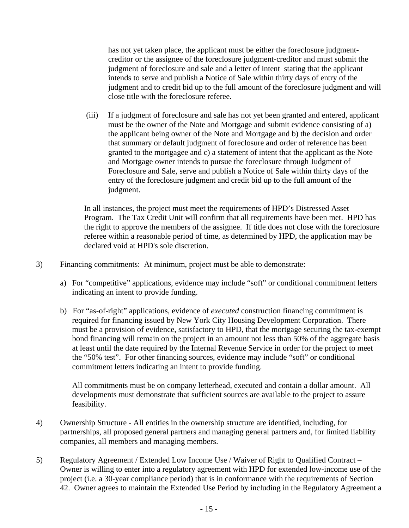has not yet taken place, the applicant must be either the foreclosure judgmentcreditor or the assignee of the foreclosure judgment-creditor and must submit the judgment of foreclosure and sale and a letter of intent stating that the applicant intends to serve and publish a Notice of Sale within thirty days of entry of the judgment and to credit bid up to the full amount of the foreclosure judgment and will close title with the foreclosure referee.

 (iii) If a judgment of foreclosure and sale has not yet been granted and entered, applicant must be the owner of the Note and Mortgage and submit evidence consisting of a) the applicant being owner of the Note and Mortgage and b) the decision and order that summary or default judgment of foreclosure and order of reference has been granted to the mortgagee and c) a statement of intent that the applicant as the Note and Mortgage owner intends to pursue the foreclosure through Judgment of Foreclosure and Sale, serve and publish a Notice of Sale within thirty days of the entry of the foreclosure judgment and credit bid up to the full amount of the judgment.

In all instances, the project must meet the requirements of HPD's Distressed Asset Program. The Tax Credit Unit will confirm that all requirements have been met. HPD has the right to approve the members of the assignee. If title does not close with the foreclosure referee within a reasonable period of time, as determined by HPD, the application may be declared void at HPD's sole discretion.

- 3) Financing commitments: At minimum, project must be able to demonstrate:
	- a) For "competitive" applications, evidence may include "soft" or conditional commitment letters indicating an intent to provide funding.
	- b) For "as-of-right" applications, evidence of *executed* construction financing commitment is required for financing issued by New York City Housing Development Corporation. There must be a provision of evidence, satisfactory to HPD, that the mortgage securing the tax-exempt bond financing will remain on the project in an amount not less than 50% of the aggregate basis at least until the date required by the Internal Revenue Service in order for the project to meet the "50% test". For other financing sources, evidence may include "soft" or conditional commitment letters indicating an intent to provide funding.

All commitments must be on company letterhead, executed and contain a dollar amount. All developments must demonstrate that sufficient sources are available to the project to assure feasibility.

- 4) Ownership Structure All entities in the ownership structure are identified, including, for partnerships, all proposed general partners and managing general partners and, for limited liability companies, all members and managing members.
- 5) Regulatory Agreement / Extended Low Income Use / Waiver of Right to Qualified Contract Owner is willing to enter into a regulatory agreement with HPD for extended low-income use of the project (i.e. a 30-year compliance period) that is in conformance with the requirements of Section 42. Owner agrees to maintain the Extended Use Period by including in the Regulatory Agreement a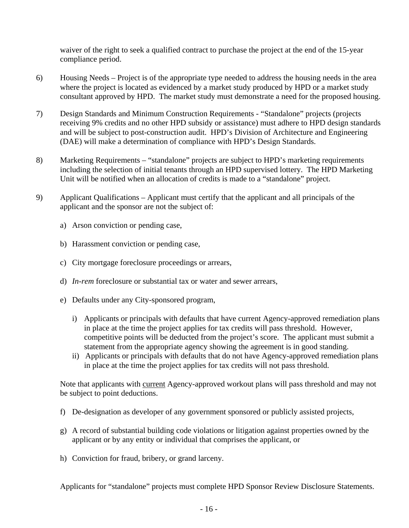waiver of the right to seek a qualified contract to purchase the project at the end of the 15-year compliance period.

- 6) Housing Needs Project is of the appropriate type needed to address the housing needs in the area where the project is located as evidenced by a market study produced by HPD or a market study consultant approved by HPD. The market study must demonstrate a need for the proposed housing.
- 7) Design Standards and Minimum Construction Requirements "Standalone" projects (projects receiving 9% credits and no other HPD subsidy or assistance) must adhere to HPD design standards and will be subject to post-construction audit. HPD's Division of Architecture and Engineering (DAE) will make a determination of compliance with HPD's Design Standards.
- 8) Marketing Requirements "standalone" projects are subject to HPD's marketing requirements including the selection of initial tenants through an HPD supervised lottery. The HPD Marketing Unit will be notified when an allocation of credits is made to a "standalone" project.
- 9) Applicant Qualifications Applicant must certify that the applicant and all principals of the applicant and the sponsor are not the subject of:
	- a) Arson conviction or pending case,
	- b) Harassment conviction or pending case,
	- c) City mortgage foreclosure proceedings or arrears,
	- d) *In-rem* foreclosure or substantial tax or water and sewer arrears,
	- e) Defaults under any City-sponsored program,
		- i) Applicants or principals with defaults that have current Agency-approved remediation plans in place at the time the project applies for tax credits will pass threshold. However, competitive points will be deducted from the project's score. The applicant must submit a statement from the appropriate agency showing the agreement is in good standing.
		- ii) Applicants or principals with defaults that do not have Agency-approved remediation plans in place at the time the project applies for tax credits will not pass threshold.

Note that applicants with current Agency-approved workout plans will pass threshold and may not be subject to point deductions.

- f) De-designation as developer of any government sponsored or publicly assisted projects,
- g) A record of substantial building code violations or litigation against properties owned by the applicant or by any entity or individual that comprises the applicant, or
- h) Conviction for fraud, bribery, or grand larceny.

Applicants for "standalone" projects must complete HPD Sponsor Review Disclosure Statements.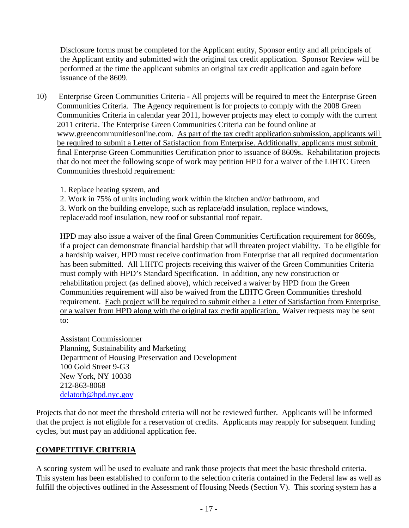Disclosure forms must be completed for the Applicant entity, Sponsor entity and all principals of the Applicant entity and submitted with the original tax credit application. Sponsor Review will be performed at the time the applicant submits an original tax credit application and again before issuance of the 8609.

- 10) Enterprise Green Communities Criteria All projects will be required to meet the Enterprise Green Communities Criteria. The Agency requirement is for projects to comply with the 2008 Green Communities Criteria in calendar year 2011, however projects may elect to comply with the current 2011 criteria. The Enterprise Green Communities Criteria can be found online at www.greencommunitiesonline.com. As part of the tax credit application submission, applicants will be required to submit a Letter of Satisfaction from Enterprise. Additionally, applicants must submit final Enterprise Green Communities Certification prior to issuance of 8609s. Rehabilitation projects that do not meet the following scope of work may petition HPD for a waiver of the LIHTC Green Communities threshold requirement:
	- 1. Replace heating system, and
	- 2. Work in 75% of units including work within the kitchen and/or bathroom, and
	- 3. Work on the building envelope, such as replace/add insulation, replace windows,

replace/add roof insulation, new roof or substantial roof repair.

HPD may also issue a waiver of the final Green Communities Certification requirement for 8609s, if a project can demonstrate financial hardship that will threaten project viability. To be eligible for a hardship waiver, HPD must receive confirmation from Enterprise that all required documentation has been submitted. All LIHTC projects receiving this waiver of the Green Communities Criteria must comply with HPD's Standard Specification. In addition, any new construction or rehabilitation project (as defined above), which received a waiver by HPD from the Green Communities requirement will also be waived from the LIHTC Green Communities threshold requirement. Each project will be required to submit either a Letter of Satisfaction from Enterprise or a waiver from HPD along with the original tax credit application. Waiver requests may be sent to:

Assistant Commissionner Planning, Sustainability and Marketing Department of Housing Preservation and Development 100 Gold Street 9-G3 New York, NY 10038 212-863-8068 delatorb@hpd.nyc.gov

Projects that do not meet the threshold criteria will not be reviewed further. Applicants will be informed that the project is not eligible for a reservation of credits. Applicants may reapply for subsequent funding cycles, but must pay an additional application fee.

#### **COMPETITIVE CRITERIA**

A scoring system will be used to evaluate and rank those projects that meet the basic threshold criteria. This system has been established to conform to the selection criteria contained in the Federal law as well as fulfill the objectives outlined in the Assessment of Housing Needs (Section V). This scoring system has a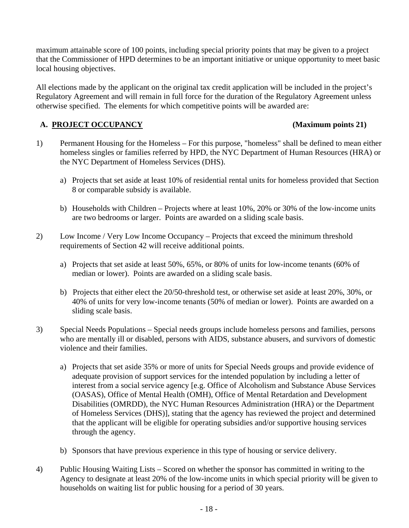maximum attainable score of 100 points, including special priority points that may be given to a project that the Commissioner of HPD determines to be an important initiative or unique opportunity to meet basic local housing objectives.

All elections made by the applicant on the original tax credit application will be included in the project's Regulatory Agreement and will remain in full force for the duration of the Regulatory Agreement unless otherwise specified. The elements for which competitive points will be awarded are:

### **A. PROJECT OCCUPANCY (Maximum points 21)**

- 1) Permanent Housing for the Homeless For this purpose, "homeless" shall be defined to mean either homeless singles or families referred by HPD, the NYC Department of Human Resources (HRA) or the NYC Department of Homeless Services (DHS).
	- a) Projects that set aside at least 10% of residential rental units for homeless provided that Section 8 or comparable subsidy is available.
	- b) Households with Children Projects where at least 10%, 20% or 30% of the low-income units are two bedrooms or larger. Points are awarded on a sliding scale basis.
- 2) Low Income / Very Low Income Occupancy Projects that exceed the minimum threshold requirements of Section 42 will receive additional points.
	- a) Projects that set aside at least 50%, 65%, or 80% of units for low-income tenants (60% of median or lower). Points are awarded on a sliding scale basis.
	- b) Projects that either elect the 20/50-threshold test, or otherwise set aside at least 20%, 30%, or 40% of units for very low-income tenants (50% of median or lower). Points are awarded on a sliding scale basis.
- 3) Special Needs Populations Special needs groups include homeless persons and families, persons who are mentally ill or disabled, persons with AIDS, substance abusers, and survivors of domestic violence and their families.
	- a) Projects that set aside 35% or more of units for Special Needs groups and provide evidence of adequate provision of support services for the intended population by including a letter of interest from a social service agency [e.g. Office of Alcoholism and Substance Abuse Services (OASAS), Office of Mental Health (OMH), Office of Mental Retardation and Development Disabilities (OMRDD), the NYC Human Resources Administration (HRA) or the Department of Homeless Services (DHS)], stating that the agency has reviewed the project and determined that the applicant will be eligible for operating subsidies and/or supportive housing services through the agency.
	- b) Sponsors that have previous experience in this type of housing or service delivery.
- 4) Public Housing Waiting Lists Scored on whether the sponsor has committed in writing to the Agency to designate at least 20% of the low-income units in which special priority will be given to households on waiting list for public housing for a period of 30 years.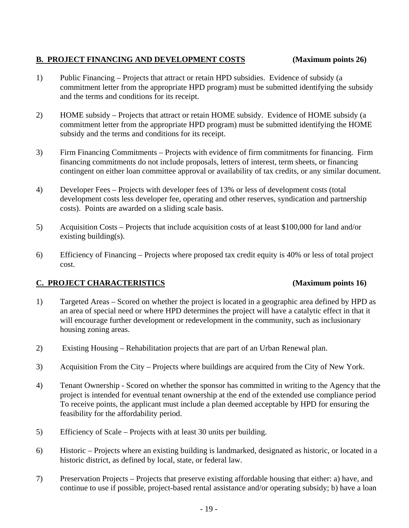### **B. PROJECT FINANCING AND DEVELOPMENT COSTS (Maximum points 26)**

- 1) Public Financing Projects that attract or retain HPD subsidies. Evidence of subsidy (a commitment letter from the appropriate HPD program) must be submitted identifying the subsidy and the terms and conditions for its receipt.
- 2) HOME subsidy Projects that attract or retain HOME subsidy. Evidence of HOME subsidy (a commitment letter from the appropriate HPD program) must be submitted identifying the HOME subsidy and the terms and conditions for its receipt.
- 3) Firm Financing Commitments Projects with evidence of firm commitments for financing. Firm financing commitments do not include proposals, letters of interest, term sheets, or financing contingent on either loan committee approval or availability of tax credits, or any similar document.
- 4) Developer Fees Projects with developer fees of 13% or less of development costs (total development costs less developer fee, operating and other reserves, syndication and partnership costs). Points are awarded on a sliding scale basis.
- 5) Acquisition Costs Projects that include acquisition costs of at least \$100,000 for land and/or existing building(s).
- 6) Efficiency of Financing Projects where proposed tax credit equity is 40% or less of total project cost.

# **C. PROJECT CHARACTERISTICS (Maximum points 16)**

- 1) Targeted Areas Scored on whether the project is located in a geographic area defined by HPD as an area of special need or where HPD determines the project will have a catalytic effect in that it will encourage further development or redevelopment in the community, such as inclusionary housing zoning areas.
- 2) Existing Housing Rehabilitation projects that are part of an Urban Renewal plan.
- 3) Acquisition From the City Projects where buildings are acquired from the City of New York.
- 4) Tenant Ownership Scored on whether the sponsor has committed in writing to the Agency that the project is intended for eventual tenant ownership at the end of the extended use compliance period To receive points, the applicant must include a plan deemed acceptable by HPD for ensuring the feasibility for the affordability period.
- 5) Efficiency of Scale Projects with at least 30 units per building.
- 6) Historic Projects where an existing building is landmarked, designated as historic, or located in a historic district, as defined by local, state, or federal law.
- 7) Preservation Projects Projects that preserve existing affordable housing that either: a) have, and continue to use if possible, project-based rental assistance and/or operating subsidy; b) have a loan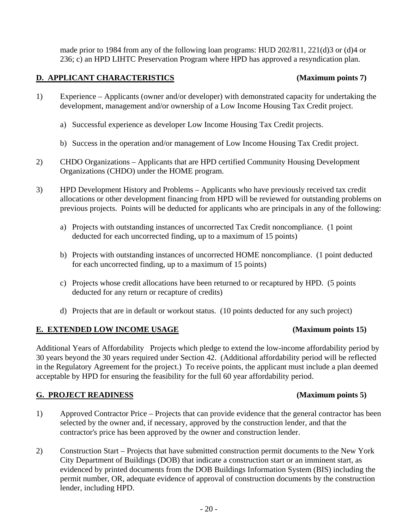made prior to 1984 from any of the following loan programs: HUD 202/811, 221(d)3 or (d)4 or 236; c) an HPD LIHTC Preservation Program where HPD has approved a resyndication plan.

# **D. APPLICANT CHARACTERISTICS (Maximum points 7)**

## 1) Experience – Applicants (owner and/or developer) with demonstrated capacity for undertaking the development, management and/or ownership of a Low Income Housing Tax Credit project.

- a) Successful experience as developer Low Income Housing Tax Credit projects.
- b) Success in the operation and/or management of Low Income Housing Tax Credit project.
- 2) CHDO Organizations Applicants that are HPD certified Community Housing Development Organizations (CHDO) under the HOME program.
- 3) HPD Development History and Problems Applicants who have previously received tax credit allocations or other development financing from HPD will be reviewed for outstanding problems on previous projects. Points will be deducted for applicants who are principals in any of the following:
	- a) Projects with outstanding instances of uncorrected Tax Credit noncompliance. (1 point deducted for each uncorrected finding, up to a maximum of 15 points)
	- b) Projects with outstanding instances of uncorrected HOME noncompliance. (1 point deducted for each uncorrected finding, up to a maximum of 15 points)
	- c) Projects whose credit allocations have been returned to or recaptured by HPD. (5 points deducted for any return or recapture of credits)
	- d) Projects that are in default or workout status. (10 points deducted for any such project)

#### **E. EXTENDED LOW INCOME USAGE (Maximum points 15)**

Additional Years of Affordability Projects which pledge to extend the low-income affordability period by 30 years beyond the 30 years required under Section 42. (Additional affordability period will be reflected in the Regulatory Agreement for the project.) To receive points, the applicant must include a plan deemed acceptable by HPD for ensuring the feasibility for the full 60 year affordability period.

#### **G. PROJECT READINESS (Maximum points 5)**

- 1) Approved Contractor Price Projects that can provide evidence that the general contractor has been selected by the owner and, if necessary, approved by the construction lender, and that the contractor's price has been approved by the owner and construction lender.
- 2) Construction Start Projects that have submitted construction permit documents to the New York City Department of Buildings (DOB) that indicate a construction start or an imminent start, as evidenced by printed documents from the DOB Buildings Information System (BIS) including the permit number, OR, adequate evidence of approval of construction documents by the construction lender, including HPD.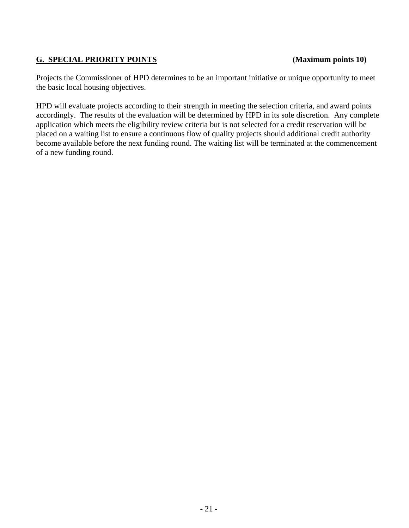# **G. SPECIAL PRIORITY POINTS (Maximum points 10)**

Projects the Commissioner of HPD determines to be an important initiative or unique opportunity to meet the basic local housing objectives.

HPD will evaluate projects according to their strength in meeting the selection criteria, and award points accordingly. The results of the evaluation will be determined by HPD in its sole discretion. Any complete application which meets the eligibility review criteria but is not selected for a credit reservation will be placed on a waiting list to ensure a continuous flow of quality projects should additional credit authority become available before the next funding round. The waiting list will be terminated at the commencement of a new funding round.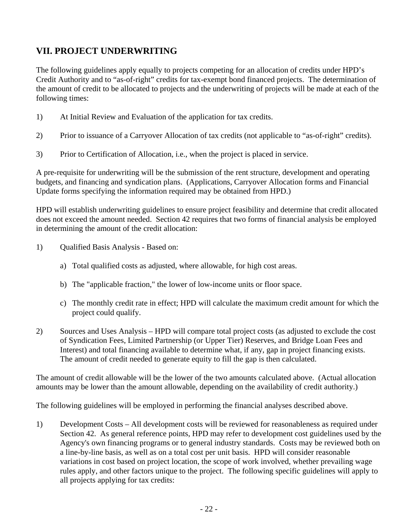# **VII. PROJECT UNDERWRITING**

The following guidelines apply equally to projects competing for an allocation of credits under HPD's Credit Authority and to "as-of-right" credits for tax-exempt bond financed projects. The determination of the amount of credit to be allocated to projects and the underwriting of projects will be made at each of the following times:

- 1) At Initial Review and Evaluation of the application for tax credits.
- 2) Prior to issuance of a Carryover Allocation of tax credits (not applicable to "as-of-right" credits).
- 3) Prior to Certification of Allocation, i.e., when the project is placed in service.

A pre-requisite for underwriting will be the submission of the rent structure, development and operating budgets, and financing and syndication plans. (Applications, Carryover Allocation forms and Financial Update forms specifying the information required may be obtained from HPD.)

HPD will establish underwriting guidelines to ensure project feasibility and determine that credit allocated does not exceed the amount needed. Section 42 requires that two forms of financial analysis be employed in determining the amount of the credit allocation:

- 1) Qualified Basis Analysis Based on:
	- a) Total qualified costs as adjusted, where allowable, for high cost areas.
	- b) The "applicable fraction," the lower of low-income units or floor space.
	- c) The monthly credit rate in effect; HPD will calculate the maximum credit amount for which the project could qualify.
- 2) Sources and Uses Analysis HPD will compare total project costs (as adjusted to exclude the cost of Syndication Fees, Limited Partnership (or Upper Tier) Reserves, and Bridge Loan Fees and Interest) and total financing available to determine what, if any, gap in project financing exists. The amount of credit needed to generate equity to fill the gap is then calculated.

The amount of credit allowable will be the lower of the two amounts calculated above. (Actual allocation amounts may be lower than the amount allowable, depending on the availability of credit authority.)

The following guidelines will be employed in performing the financial analyses described above.

1) Development Costs – All development costs will be reviewed for reasonableness as required under Section 42. As general reference points, HPD may refer to development cost guidelines used by the Agency's own financing programs or to general industry standards. Costs may be reviewed both on a line-by-line basis, as well as on a total cost per unit basis. HPD will consider reasonable variations in cost based on project location, the scope of work involved, whether prevailing wage rules apply, and other factors unique to the project. The following specific guidelines will apply to all projects applying for tax credits: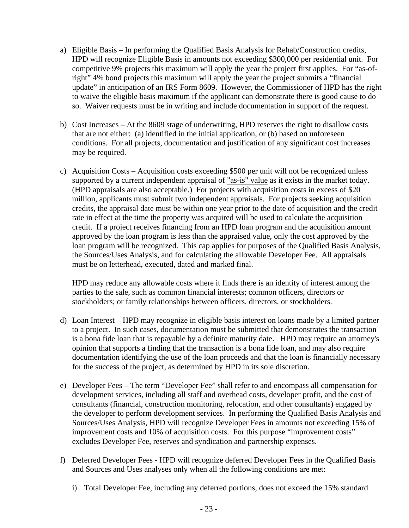- a) Eligible Basis In performing the Qualified Basis Analysis for Rehab/Construction credits, HPD will recognize Eligible Basis in amounts not exceeding \$300,000 per residential unit. For competitive 9% projects this maximum will apply the year the project first applies. For "as-ofright" 4% bond projects this maximum will apply the year the project submits a "financial update" in anticipation of an IRS Form 8609. However, the Commissioner of HPD has the right to waive the eligible basis maximum if the applicant can demonstrate there is good cause to do so. Waiver requests must be in writing and include documentation in support of the request.
- b) Cost Increases At the 8609 stage of underwriting, HPD reserves the right to disallow costs that are not either: (a) identified in the initial application, or (b) based on unforeseen conditions. For all projects, documentation and justification of any significant cost increases may be required.
- c) Acquisition Costs Acquisition costs exceeding \$500 per unit will not be recognized unless supported by a current independent appraisal of "as-is" value as it exists in the market today. (HPD appraisals are also acceptable.) For projects with acquisition costs in excess of \$20 million, applicants must submit two independent appraisals. For projects seeking acquisition credits, the appraisal date must be within one year prior to the date of acquisition and the credit rate in effect at the time the property was acquired will be used to calculate the acquisition credit. If a project receives financing from an HPD loan program and the acquisition amount approved by the loan program is less than the appraised value, only the cost approved by the loan program will be recognized. This cap applies for purposes of the Qualified Basis Analysis, the Sources/Uses Analysis, and for calculating the allowable Developer Fee. All appraisals must be on letterhead, executed, dated and marked final.

HPD may reduce any allowable costs where it finds there is an identity of interest among the parties to the sale, such as common financial interests; common officers, directors or stockholders; or family relationships between officers, directors, or stockholders.

- d) Loan Interest HPD may recognize in eligible basis interest on loans made by a limited partner to a project. In such cases, documentation must be submitted that demonstrates the transaction is a bona fide loan that is repayable by a definite maturity date. HPD may require an attorney's opinion that supports a finding that the transaction is a bona fide loan, and may also require documentation identifying the use of the loan proceeds and that the loan is financially necessary for the success of the project, as determined by HPD in its sole discretion.
- e) Developer Fees The term "Developer Fee" shall refer to and encompass all compensation for development services, including all staff and overhead costs, developer profit, and the cost of consultants (financial, construction monitoring, relocation, and other consultants) engaged by the developer to perform development services. In performing the Qualified Basis Analysis and Sources/Uses Analysis, HPD will recognize Developer Fees in amounts not exceeding 15% of improvement costs and 10% of acquisition costs. For this purpose "improvement costs" excludes Developer Fee, reserves and syndication and partnership expenses.
- f) Deferred Developer Fees HPD will recognize deferred Developer Fees in the Qualified Basis and Sources and Uses analyses only when all the following conditions are met:
	- i) Total Developer Fee, including any deferred portions, does not exceed the 15% standard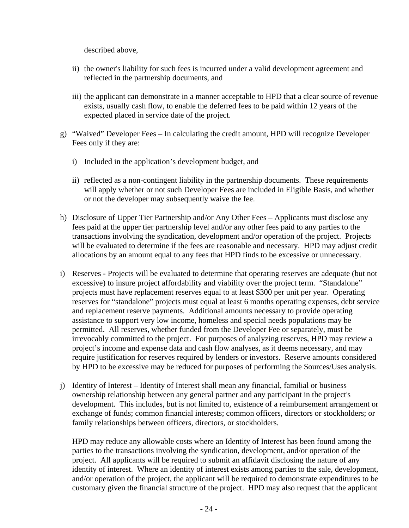described above,

- ii) the owner's liability for such fees is incurred under a valid development agreement and reflected in the partnership documents, and
- iii) the applicant can demonstrate in a manner acceptable to HPD that a clear source of revenue exists, usually cash flow, to enable the deferred fees to be paid within 12 years of the expected placed in service date of the project.
- g) "Waived" Developer Fees In calculating the credit amount, HPD will recognize Developer Fees only if they are:
	- i) Included in the application's development budget, and
	- ii) reflected as a non-contingent liability in the partnership documents. These requirements will apply whether or not such Developer Fees are included in Eligible Basis, and whether or not the developer may subsequently waive the fee.
- h) Disclosure of Upper Tier Partnership and/or Any Other Fees Applicants must disclose any fees paid at the upper tier partnership level and/or any other fees paid to any parties to the transactions involving the syndication, development and/or operation of the project. Projects will be evaluated to determine if the fees are reasonable and necessary. HPD may adjust credit allocations by an amount equal to any fees that HPD finds to be excessive or unnecessary.
- i) Reserves Projects will be evaluated to determine that operating reserves are adequate (but not excessive) to insure project affordability and viability over the project term. "Standalone" projects must have replacement reserves equal to at least \$300 per unit per year. Operating reserves for "standalone" projects must equal at least 6 months operating expenses, debt service and replacement reserve payments. Additional amounts necessary to provide operating assistance to support very low income, homeless and special needs populations may be permitted. All reserves, whether funded from the Developer Fee or separately, must be irrevocably committed to the project. For purposes of analyzing reserves, HPD may review a project's income and expense data and cash flow analyses, as it deems necessary, and may require justification for reserves required by lenders or investors. Reserve amounts considered by HPD to be excessive may be reduced for purposes of performing the Sources/Uses analysis.
- j) Identity of Interest Identity of Interest shall mean any financial, familial or business ownership relationship between any general partner and any participant in the project's development. This includes, but is not limited to, existence of a reimbursement arrangement or exchange of funds; common financial interests; common officers, directors or stockholders; or family relationships between officers, directors, or stockholders.

HPD may reduce any allowable costs where an Identity of Interest has been found among the parties to the transactions involving the syndication, development, and/or operation of the project. All applicants will be required to submit an affidavit disclosing the nature of any identity of interest. Where an identity of interest exists among parties to the sale, development, and/or operation of the project, the applicant will be required to demonstrate expenditures to be customary given the financial structure of the project. HPD may also request that the applicant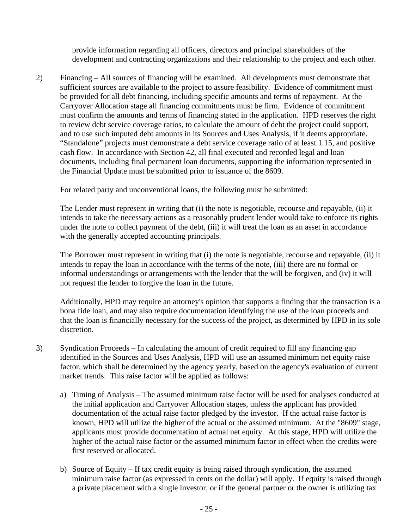provide information regarding all officers, directors and principal shareholders of the development and contracting organizations and their relationship to the project and each other.

2) Financing – All sources of financing will be examined. All developments must demonstrate that sufficient sources are available to the project to assure feasibility. Evidence of commitment must be provided for all debt financing, including specific amounts and terms of repayment. At the Carryover Allocation stage all financing commitments must be firm. Evidence of commitment must confirm the amounts and terms of financing stated in the application. HPD reserves the right to review debt service coverage ratios, to calculate the amount of debt the project could support, and to use such imputed debt amounts in its Sources and Uses Analysis, if it deems appropriate. "Standalone" projects must demonstrate a debt service coverage ratio of at least 1.15, and positive cash flow. In accordance with Section 42, all final executed and recorded legal and loan documents, including final permanent loan documents, supporting the information represented in the Financial Update must be submitted prior to issuance of the 8609.

For related party and unconventional loans, the following must be submitted:

The Lender must represent in writing that (i) the note is negotiable, recourse and repayable, (ii) it intends to take the necessary actions as a reasonably prudent lender would take to enforce its rights under the note to collect payment of the debt, (iii) it will treat the loan as an asset in accordance with the generally accepted accounting principals.

The Borrower must represent in writing that (i) the note is negotiable, recourse and repayable, (ii) it intends to repay the loan in accordance with the terms of the note, (iii) there are no formal or informal understandings or arrangements with the lender that the will be forgiven, and (iv) it will not request the lender to forgive the loan in the future.

Additionally, HPD may require an attorney's opinion that supports a finding that the transaction is a bona fide loan, and may also require documentation identifying the use of the loan proceeds and that the loan is financially necessary for the success of the project, as determined by HPD in its sole discretion.

- 3) Syndication Proceeds In calculating the amount of credit required to fill any financing gap identified in the Sources and Uses Analysis, HPD will use an assumed minimum net equity raise factor, which shall be determined by the agency yearly, based on the agency's evaluation of current market trends. This raise factor will be applied as follows:
	- a) Timing of Analysis The assumed minimum raise factor will be used for analyses conducted at the initial application and Carryover Allocation stages, unless the applicant has provided documentation of the actual raise factor pledged by the investor. If the actual raise factor is known, HPD will utilize the higher of the actual or the assumed minimum. At the "8609" stage, applicants must provide documentation of actual net equity. At this stage, HPD will utilize the higher of the actual raise factor or the assumed minimum factor in effect when the credits were first reserved or allocated.
	- b) Source of Equity If tax credit equity is being raised through syndication, the assumed minimum raise factor (as expressed in cents on the dollar) will apply. If equity is raised through a private placement with a single investor, or if the general partner or the owner is utilizing tax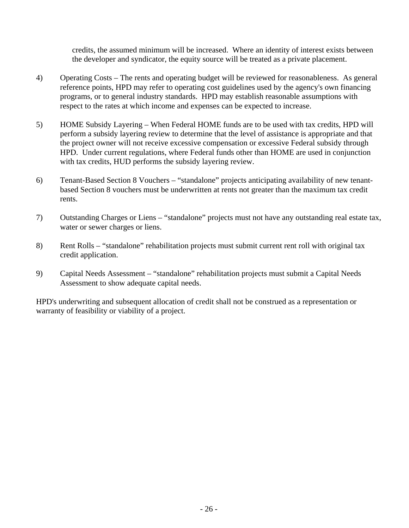credits, the assumed minimum will be increased. Where an identity of interest exists between the developer and syndicator, the equity source will be treated as a private placement.

- 4) Operating Costs The rents and operating budget will be reviewed for reasonableness. As general reference points, HPD may refer to operating cost guidelines used by the agency's own financing programs, or to general industry standards. HPD may establish reasonable assumptions with respect to the rates at which income and expenses can be expected to increase.
- 5) HOME Subsidy Layering When Federal HOME funds are to be used with tax credits, HPD will perform a subsidy layering review to determine that the level of assistance is appropriate and that the project owner will not receive excessive compensation or excessive Federal subsidy through HPD. Under current regulations, where Federal funds other than HOME are used in conjunction with tax credits, HUD performs the subsidy layering review.
- 6) Tenant-Based Section 8 Vouchers "standalone" projects anticipating availability of new tenantbased Section 8 vouchers must be underwritten at rents not greater than the maximum tax credit rents.
- 7) Outstanding Charges or Liens "standalone" projects must not have any outstanding real estate tax, water or sewer charges or liens.
- 8) Rent Rolls "standalone" rehabilitation projects must submit current rent roll with original tax credit application.
- 9) Capital Needs Assessment "standalone" rehabilitation projects must submit a Capital Needs Assessment to show adequate capital needs.

HPD's underwriting and subsequent allocation of credit shall not be construed as a representation or warranty of feasibility or viability of a project.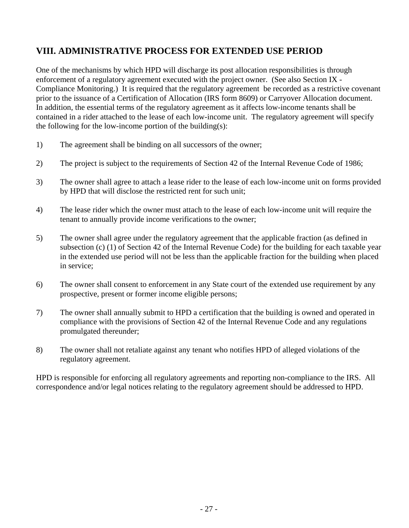# **VIII. ADMINISTRATIVE PROCESS FOR EXTENDED USE PERIOD**

One of the mechanisms by which HPD will discharge its post allocation responsibilities is through enforcement of a regulatory agreement executed with the project owner. (See also Section IX - Compliance Monitoring.) It is required that the regulatory agreement be recorded as a restrictive covenant prior to the issuance of a Certification of Allocation (IRS form 8609) or Carryover Allocation document. In addition, the essential terms of the regulatory agreement as it affects low-income tenants shall be contained in a rider attached to the lease of each low-income unit. The regulatory agreement will specify the following for the low-income portion of the building(s):

- 1) The agreement shall be binding on all successors of the owner;
- 2) The project is subject to the requirements of Section 42 of the Internal Revenue Code of 1986;
- 3) The owner shall agree to attach a lease rider to the lease of each low-income unit on forms provided by HPD that will disclose the restricted rent for such unit;
- 4) The lease rider which the owner must attach to the lease of each low-income unit will require the tenant to annually provide income verifications to the owner;
- 5) The owner shall agree under the regulatory agreement that the applicable fraction (as defined in subsection (c) (1) of Section 42 of the Internal Revenue Code) for the building for each taxable year in the extended use period will not be less than the applicable fraction for the building when placed in service;
- 6) The owner shall consent to enforcement in any State court of the extended use requirement by any prospective, present or former income eligible persons;
- 7) The owner shall annually submit to HPD a certification that the building is owned and operated in compliance with the provisions of Section 42 of the Internal Revenue Code and any regulations promulgated thereunder;
- 8) The owner shall not retaliate against any tenant who notifies HPD of alleged violations of the regulatory agreement.

HPD is responsible for enforcing all regulatory agreements and reporting non-compliance to the IRS. All correspondence and/or legal notices relating to the regulatory agreement should be addressed to HPD.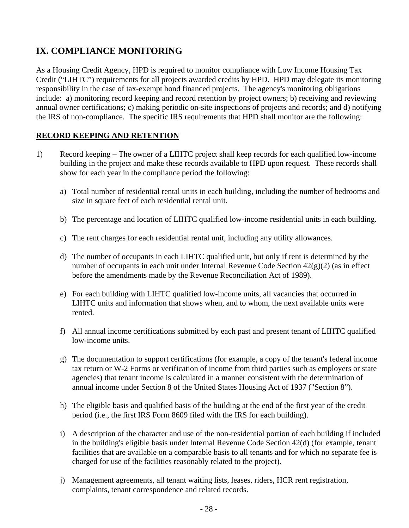# **IX. COMPLIANCE MONITORING**

As a Housing Credit Agency, HPD is required to monitor compliance with Low Income Housing Tax Credit ("LIHTC") requirements for all projects awarded credits by HPD. HPD may delegate its monitoring responsibility in the case of tax-exempt bond financed projects. The agency's monitoring obligations include: a) monitoring record keeping and record retention by project owners; b) receiving and reviewing annual owner certifications; c) making periodic on-site inspections of projects and records; and d) notifying the IRS of non-compliance. The specific IRS requirements that HPD shall monitor are the following:

# **RECORD KEEPING AND RETENTION**

- 1) Record keeping The owner of a LIHTC project shall keep records for each qualified low-income building in the project and make these records available to HPD upon request. These records shall show for each year in the compliance period the following:
	- a) Total number of residential rental units in each building, including the number of bedrooms and size in square feet of each residential rental unit.
	- b) The percentage and location of LIHTC qualified low-income residential units in each building.
	- c) The rent charges for each residential rental unit, including any utility allowances.
	- d) The number of occupants in each LIHTC qualified unit, but only if rent is determined by the number of occupants in each unit under Internal Revenue Code Section 42(g)(2) (as in effect before the amendments made by the Revenue Reconciliation Act of 1989).
	- e) For each building with LIHTC qualified low-income units, all vacancies that occurred in LIHTC units and information that shows when, and to whom, the next available units were rented.
	- f) All annual income certifications submitted by each past and present tenant of LIHTC qualified low-income units.
	- g) The documentation to support certifications (for example, a copy of the tenant's federal income tax return or W-2 Forms or verification of income from third parties such as employers or state agencies) that tenant income is calculated in a manner consistent with the determination of annual income under Section 8 of the United States Housing Act of 1937 ("Section 8").
	- h) The eligible basis and qualified basis of the building at the end of the first year of the credit period (i.e., the first IRS Form 8609 filed with the IRS for each building).
	- i) A description of the character and use of the non-residential portion of each building if included in the building's eligible basis under Internal Revenue Code Section 42(d) (for example, tenant facilities that are available on a comparable basis to all tenants and for which no separate fee is charged for use of the facilities reasonably related to the project).
	- j) Management agreements, all tenant waiting lists, leases, riders, HCR rent registration, complaints, tenant correspondence and related records.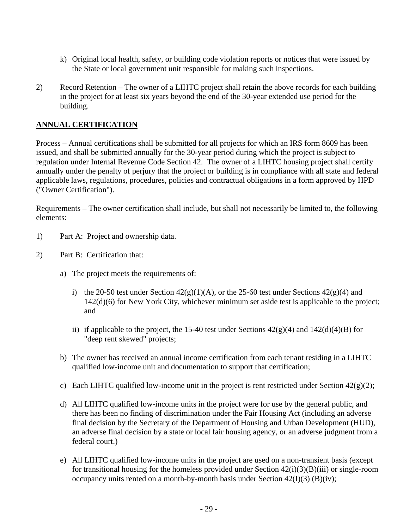- k) Original local health, safety, or building code violation reports or notices that were issued by the State or local government unit responsible for making such inspections.
- 2) Record Retention The owner of a LIHTC project shall retain the above records for each building in the project for at least six years beyond the end of the 30-year extended use period for the building.

## **ANNUAL CERTIFICATION**

Process – Annual certifications shall be submitted for all projects for which an IRS form 8609 has been issued, and shall be submitted annually for the 30-year period during which the project is subject to regulation under Internal Revenue Code Section 42. The owner of a LIHTC housing project shall certify annually under the penalty of perjury that the project or building is in compliance with all state and federal applicable laws, regulations, procedures, policies and contractual obligations in a form approved by HPD ("Owner Certification").

Requirements – The owner certification shall include, but shall not necessarily be limited to, the following elements:

- 1) Part A: Project and ownership data.
- 2) Part B: Certification that:
	- a) The project meets the requirements of:
		- i) the 20-50 test under Section  $42(g)(1)(A)$ , or the 25-60 test under Sections  $42(g)(4)$  and 142(d)(6) for New York City, whichever minimum set aside test is applicable to the project; and
		- ii) if applicable to the project, the 15-40 test under Sections  $42(g)(4)$  and  $142(d)(4)(B)$  for "deep rent skewed" projects;
	- b) The owner has received an annual income certification from each tenant residing in a LIHTC qualified low-income unit and documentation to support that certification;
	- c) Each LIHTC qualified low-income unit in the project is rent restricted under Section  $42(g)(2)$ ;
	- d) All LIHTC qualified low-income units in the project were for use by the general public, and there has been no finding of discrimination under the Fair Housing Act (including an adverse final decision by the Secretary of the Department of Housing and Urban Development (HUD), an adverse final decision by a state or local fair housing agency, or an adverse judgment from a federal court.)
	- e) All LIHTC qualified low-income units in the project are used on a non-transient basis (except for transitional housing for the homeless provided under Section  $42(i)(3)(B)(iii)$  or single-room occupancy units rented on a month-by-month basis under Section  $42(I)(3)$  (B)(iv);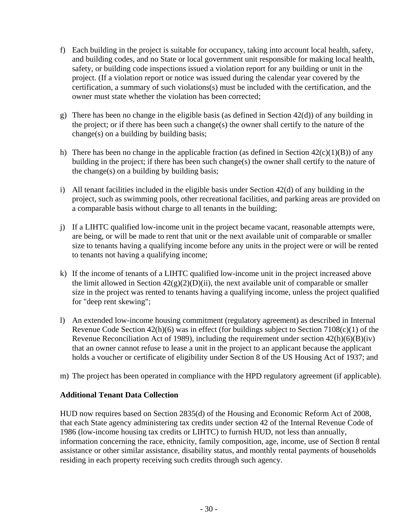- f) Each building in the project is suitable for occupancy, taking into account local health, safety, and building codes, and no State or local government unit responsible for making local health, safety, or building code inspections issued a violation report for any building or unit in the project. (If a violation report or notice was issued during the calendar year covered by the certification, a summary of such violations(s) must be included with the certification, and the owner must state whether the violation has been corrected;
- g) There has been no change in the eligible basis (as defined in Section  $42(d)$ ) of any building in the project; or if there has been such a change(s) the owner shall certify to the nature of the change(s) on a building by building basis;
- h) There has been no change in the applicable fraction (as defined in Section  $42(c)(1)(B)$ ) of any building in the project; if there has been such change(s) the owner shall certify to the nature of the change(s) on a building by building basis;
- i) All tenant facilities included in the eligible basis under Section 42(d) of any building in the project, such as swimming pools, other recreational facilities, and parking areas are provided on a comparable basis without charge to all tenants in the building;
- j) If a LIHTC qualified low-income unit in the project became vacant, reasonable attempts were, are being, or will be made to rent that unit or the next available unit of comparable or smaller size to tenants having a qualifying income before any units in the project were or will be rented to tenants not having a qualifying income;
- k) If the income of tenants of a LIHTC qualified low-income unit in the project increased above the limit allowed in Section  $42(g)(2)(D)(ii)$ , the next available unit of comparable or smaller size in the project was rented to tenants having a qualifying income, unless the project qualified for "deep rent skewing";
- l) An extended low-income housing commitment (regulatory agreement) as described in Internal Revenue Code Section  $42(h)(6)$  was in effect (for buildings subject to Section  $7108(c)(1)$  of the Revenue Reconciliation Act of 1989), including the requirement under section  $42(h)(6)(B)(iv)$ that an owner cannot refuse to lease a unit in the project to an applicant because the applicant holds a voucher or certificate of eligibility under Section 8 of the US Housing Act of 1937; and
- m) The project has been operated in compliance with the HPD regulatory agreement (if applicable).

#### **Additional Tenant Data Collection**

HUD now requires based on Section 2835(d) of the Housing and Economic Reform Act of 2008, that each State agency administering tax credits under section 42 of the Internal Revenue Code of 1986 (low-income housing tax credits or LIHTC) to furnish HUD, not less than annually, information concerning the race, ethnicity, family composition, age, income, use of Section 8 rental assistance or other similar assistance, disability status, and monthly rental payments of households residing in each property receiving such credits through such agency.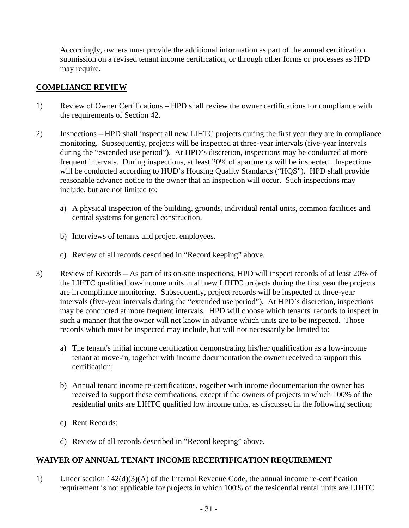Accordingly, owners must provide the additional information as part of the annual certification submission on a revised tenant income certification, or through other forms or processes as HPD may require.

#### **COMPLIANCE REVIEW**

- 1) Review of Owner Certifications HPD shall review the owner certifications for compliance with the requirements of Section 42.
- 2) Inspections HPD shall inspect all new LIHTC projects during the first year they are in compliance monitoring. Subsequently, projects will be inspected at three-year intervals (five-year intervals during the "extended use period"). At HPD's discretion, inspections may be conducted at more frequent intervals. During inspections, at least 20% of apartments will be inspected. Inspections will be conducted according to HUD's Housing Quality Standards ("HQS"). HPD shall provide reasonable advance notice to the owner that an inspection will occur. Such inspections may include, but are not limited to:
	- a) A physical inspection of the building, grounds, individual rental units, common facilities and central systems for general construction.
	- b) Interviews of tenants and project employees.
	- c) Review of all records described in "Record keeping" above.
- 3) Review of Records As part of its on-site inspections, HPD will inspect records of at least 20% of the LIHTC qualified low-income units in all new LIHTC projects during the first year the projects are in compliance monitoring. Subsequently, project records will be inspected at three-year intervals (five-year intervals during the "extended use period"). At HPD's discretion, inspections may be conducted at more frequent intervals. HPD will choose which tenants' records to inspect in such a manner that the owner will not know in advance which units are to be inspected. Those records which must be inspected may include, but will not necessarily be limited to:
	- a) The tenant's initial income certification demonstrating his/her qualification as a low-income tenant at move-in, together with income documentation the owner received to support this certification;
	- b) Annual tenant income re-certifications, together with income documentation the owner has received to support these certifications, except if the owners of projects in which 100% of the residential units are LIHTC qualified low income units, as discussed in the following section;
	- c) Rent Records;
	- d) Review of all records described in "Record keeping" above.

#### **WAIVER OF ANNUAL TENANT INCOME RECERTIFICATION REQUIREMENT**

1) Under section  $142(d)(3)(A)$  of the Internal Revenue Code, the annual income re-certification requirement is not applicable for projects in which 100% of the residential rental units are LIHTC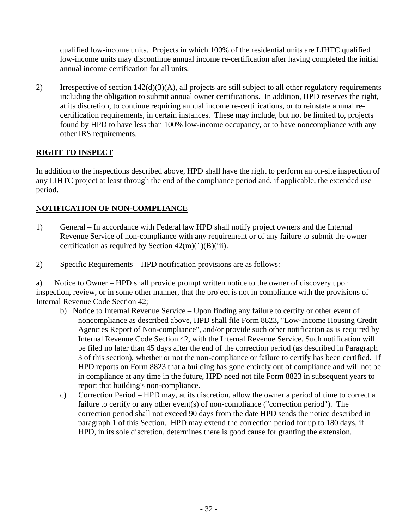qualified low-income units. Projects in which 100% of the residential units are LIHTC qualified low-income units may discontinue annual income re-certification after having completed the initial annual income certification for all units.

2) Irrespective of section 142(d)(3)(A), all projects are still subject to all other regulatory requirements including the obligation to submit annual owner certifications. In addition, HPD reserves the right, at its discretion, to continue requiring annual income re-certifications, or to reinstate annual recertification requirements, in certain instances. These may include, but not be limited to, projects found by HPD to have less than 100% low-income occupancy, or to have noncompliance with any other IRS requirements.

## **RIGHT TO INSPECT**

In addition to the inspections described above, HPD shall have the right to perform an on-site inspection of any LIHTC project at least through the end of the compliance period and, if applicable, the extended use period.

## **NOTIFICATION OF NON-COMPLIANCE**

- 1) General In accordance with Federal law HPD shall notify project owners and the Internal Revenue Service of non-compliance with any requirement or of any failure to submit the owner certification as required by Section  $42(m)(1)(B)(iii)$ .
- 2) Specific Requirements HPD notification provisions are as follows:

a) Notice to Owner – HPD shall provide prompt written notice to the owner of discovery upon inspection, review, or in some other manner, that the project is not in compliance with the provisions of Internal Revenue Code Section 42;

- b) Notice to Internal Revenue Service Upon finding any failure to certify or other event of noncompliance as described above, HPD shall file Form 8823, "Low-Income Housing Credit Agencies Report of Non-compliance", and/or provide such other notification as is required by Internal Revenue Code Section 42, with the Internal Revenue Service. Such notification will be filed no later than 45 days after the end of the correction period (as described in Paragraph 3 of this section), whether or not the non-compliance or failure to certify has been certified. If HPD reports on Form 8823 that a building has gone entirely out of compliance and will not be in compliance at any time in the future, HPD need not file Form 8823 in subsequent years to report that building's non-compliance.
- c) Correction Period HPD may, at its discretion, allow the owner a period of time to correct a failure to certify or any other event(s) of non-compliance ("correction period"). The correction period shall not exceed 90 days from the date HPD sends the notice described in paragraph 1 of this Section. HPD may extend the correction period for up to 180 days, if HPD, in its sole discretion, determines there is good cause for granting the extension.